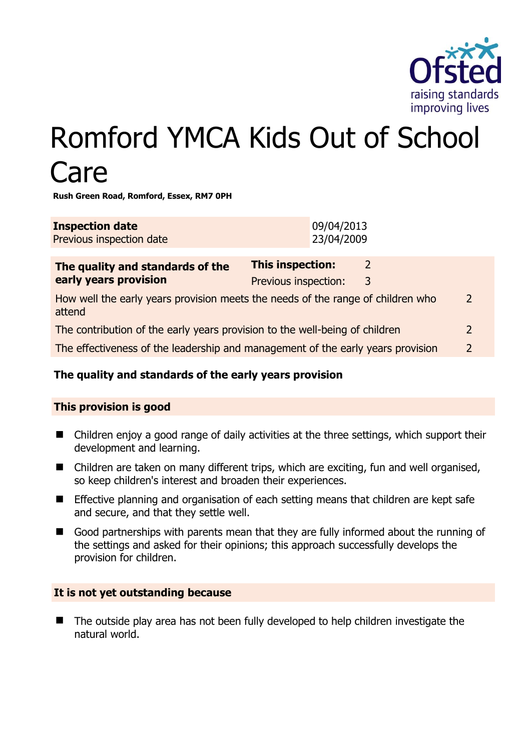

# Romford YMCA Kids Out of School Care

**Rush Green Road, Romford, Essex, RM7 0PH** 

| <b>Inspection date</b><br>Previous inspection date                                                         | 09/04/2013<br>23/04/2009                                              |  |
|------------------------------------------------------------------------------------------------------------|-----------------------------------------------------------------------|--|
| The quality and standards of the<br>early years provision                                                  | <b>This inspection:</b><br>$\mathcal{L}$<br>Previous inspection:<br>3 |  |
| How well the early years provision meets the needs of the range of children who<br>$\mathcal{L}$<br>attend |                                                                       |  |
| The contribution of the early years provision to the well-being of children                                |                                                                       |  |
| The effectiveness of the leadership and management of the early years provision                            |                                                                       |  |

# **The quality and standards of the early years provision**

#### **This provision is good**

- Children enjoy a good range of daily activities at the three settings, which support their development and learning.
- Children are taken on many different trips, which are exciting, fun and well organised, so keep children's interest and broaden their experiences.
- **Effective planning and organisation of each setting means that children are kept safe** and secure, and that they settle well.
- Good partnerships with parents mean that they are fully informed about the running of the settings and asked for their opinions; this approach successfully develops the provision for children.

#### **It is not yet outstanding because**

■ The outside play area has not been fully developed to help children investigate the natural world.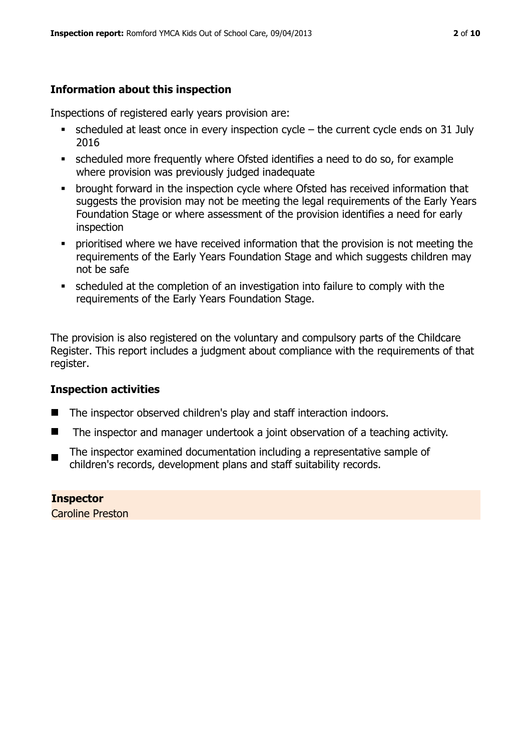# **Information about this inspection**

Inspections of registered early years provision are:

- scheduled at least once in every inspection cycle the current cycle ends on 31 July 2016
- scheduled more frequently where Ofsted identifies a need to do so, for example where provision was previously judged inadequate
- **•** brought forward in the inspection cycle where Ofsted has received information that suggests the provision may not be meeting the legal requirements of the Early Years Foundation Stage or where assessment of the provision identifies a need for early inspection
- **•** prioritised where we have received information that the provision is not meeting the requirements of the Early Years Foundation Stage and which suggests children may not be safe
- scheduled at the completion of an investigation into failure to comply with the requirements of the Early Years Foundation Stage.

The provision is also registered on the voluntary and compulsory parts of the Childcare Register. This report includes a judgment about compliance with the requirements of that register.

# **Inspection activities**

- The inspector observed children's play and staff interaction indoors.
- $\blacksquare$  The inspector and manager undertook a joint observation of a teaching activity.
- The inspector examined documentation including a representative sample of children's records, development plans and staff suitability records.

**Inspector**  Caroline Preston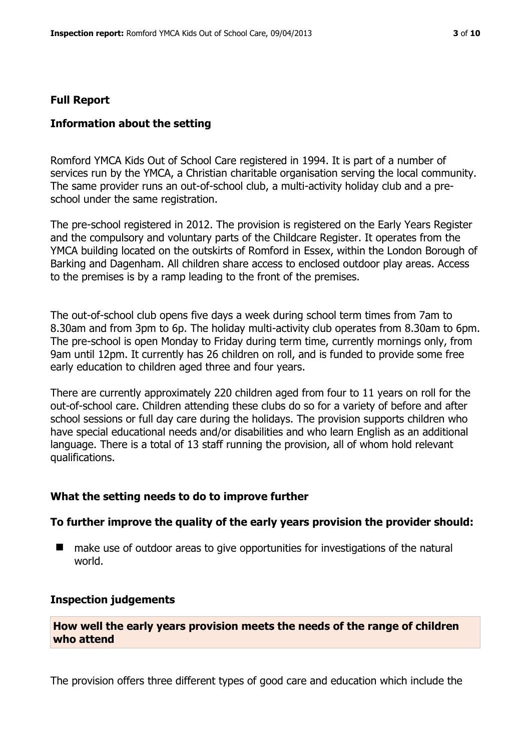#### **Full Report**

#### **Information about the setting**

Romford YMCA Kids Out of School Care registered in 1994. It is part of a number of services run by the YMCA, a Christian charitable organisation serving the local community. The same provider runs an out-of-school club, a multi-activity holiday club and a preschool under the same registration.

The pre-school registered in 2012. The provision is registered on the Early Years Register and the compulsory and voluntary parts of the Childcare Register. It operates from the YMCA building located on the outskirts of Romford in Essex, within the London Borough of Barking and Dagenham. All children share access to enclosed outdoor play areas. Access to the premises is by a ramp leading to the front of the premises.

The out-of-school club opens five days a week during school term times from 7am to 8.30am and from 3pm to 6p. The holiday multi-activity club operates from 8.30am to 6pm. The pre-school is open Monday to Friday during term time, currently mornings only, from 9am until 12pm. It currently has 26 children on roll, and is funded to provide some free early education to children aged three and four years.

There are currently approximately 220 children aged from four to 11 years on roll for the out-of-school care. Children attending these clubs do so for a variety of before and after school sessions or full day care during the holidays. The provision supports children who have special educational needs and/or disabilities and who learn English as an additional language. There is a total of 13 staff running the provision, all of whom hold relevant qualifications.

#### **What the setting needs to do to improve further**

#### **To further improve the quality of the early years provision the provider should:**

■ make use of outdoor areas to give opportunities for investigations of the natural world.

#### **Inspection judgements**

**How well the early years provision meets the needs of the range of children who attend**

The provision offers three different types of good care and education which include the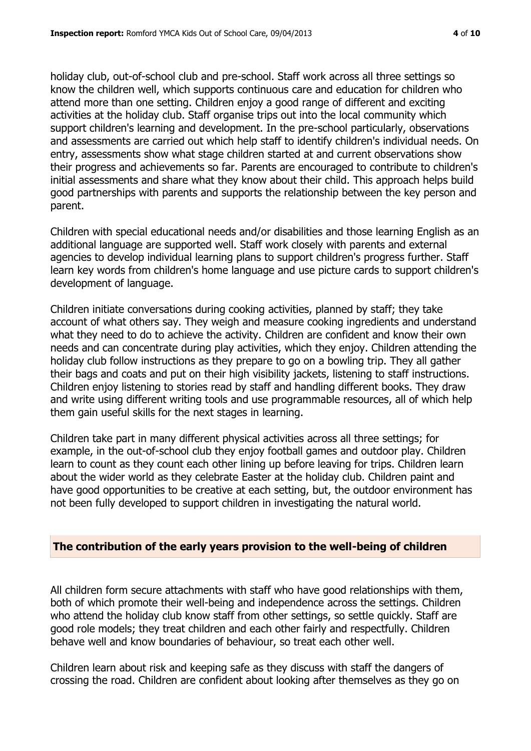holiday club, out-of-school club and pre-school. Staff work across all three settings so know the children well, which supports continuous care and education for children who attend more than one setting. Children enjoy a good range of different and exciting activities at the holiday club. Staff organise trips out into the local community which support children's learning and development. In the pre-school particularly, observations and assessments are carried out which help staff to identify children's individual needs. On entry, assessments show what stage children started at and current observations show their progress and achievements so far. Parents are encouraged to contribute to children's initial assessments and share what they know about their child. This approach helps build good partnerships with parents and supports the relationship between the key person and parent.

Children with special educational needs and/or disabilities and those learning English as an additional language are supported well. Staff work closely with parents and external agencies to develop individual learning plans to support children's progress further. Staff learn key words from children's home language and use picture cards to support children's development of language.

Children initiate conversations during cooking activities, planned by staff; they take account of what others say. They weigh and measure cooking ingredients and understand what they need to do to achieve the activity. Children are confident and know their own needs and can concentrate during play activities, which they enjoy. Children attending the holiday club follow instructions as they prepare to go on a bowling trip. They all gather their bags and coats and put on their high visibility jackets, listening to staff instructions. Children enjoy listening to stories read by staff and handling different books. They draw and write using different writing tools and use programmable resources, all of which help them gain useful skills for the next stages in learning.

Children take part in many different physical activities across all three settings; for example, in the out-of-school club they enjoy football games and outdoor play. Children learn to count as they count each other lining up before leaving for trips. Children learn about the wider world as they celebrate Easter at the holiday club. Children paint and have good opportunities to be creative at each setting, but, the outdoor environment has not been fully developed to support children in investigating the natural world.

# **The contribution of the early years provision to the well-being of children**

All children form secure attachments with staff who have good relationships with them, both of which promote their well-being and independence across the settings. Children who attend the holiday club know staff from other settings, so settle quickly. Staff are good role models; they treat children and each other fairly and respectfully. Children behave well and know boundaries of behaviour, so treat each other well.

Children learn about risk and keeping safe as they discuss with staff the dangers of crossing the road. Children are confident about looking after themselves as they go on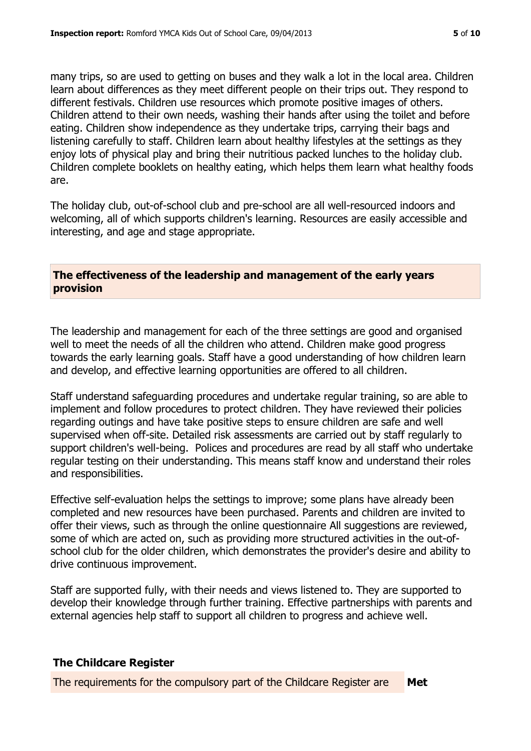many trips, so are used to getting on buses and they walk a lot in the local area. Children learn about differences as they meet different people on their trips out. They respond to different festivals. Children use resources which promote positive images of others. Children attend to their own needs, washing their hands after using the toilet and before eating. Children show independence as they undertake trips, carrying their bags and listening carefully to staff. Children learn about healthy lifestyles at the settings as they enjoy lots of physical play and bring their nutritious packed lunches to the holiday club. Children complete booklets on healthy eating, which helps them learn what healthy foods are.

The holiday club, out-of-school club and pre-school are all well-resourced indoors and welcoming, all of which supports children's learning. Resources are easily accessible and interesting, and age and stage appropriate.

# **The effectiveness of the leadership and management of the early years provision**

The leadership and management for each of the three settings are good and organised well to meet the needs of all the children who attend. Children make good progress towards the early learning goals. Staff have a good understanding of how children learn and develop, and effective learning opportunities are offered to all children.

Staff understand safeguarding procedures and undertake regular training, so are able to implement and follow procedures to protect children. They have reviewed their policies regarding outings and have take positive steps to ensure children are safe and well supervised when off-site. Detailed risk assessments are carried out by staff regularly to support children's well-being. Polices and procedures are read by all staff who undertake regular testing on their understanding. This means staff know and understand their roles and responsibilities.

Effective self-evaluation helps the settings to improve; some plans have already been completed and new resources have been purchased. Parents and children are invited to offer their views, such as through the online questionnaire All suggestions are reviewed, some of which are acted on, such as providing more structured activities in the out-ofschool club for the older children, which demonstrates the provider's desire and ability to drive continuous improvement.

Staff are supported fully, with their needs and views listened to. They are supported to develop their knowledge through further training. Effective partnerships with parents and external agencies help staff to support all children to progress and achieve well.

# **The Childcare Register**

The requirements for the compulsory part of the Childcare Register are **Met**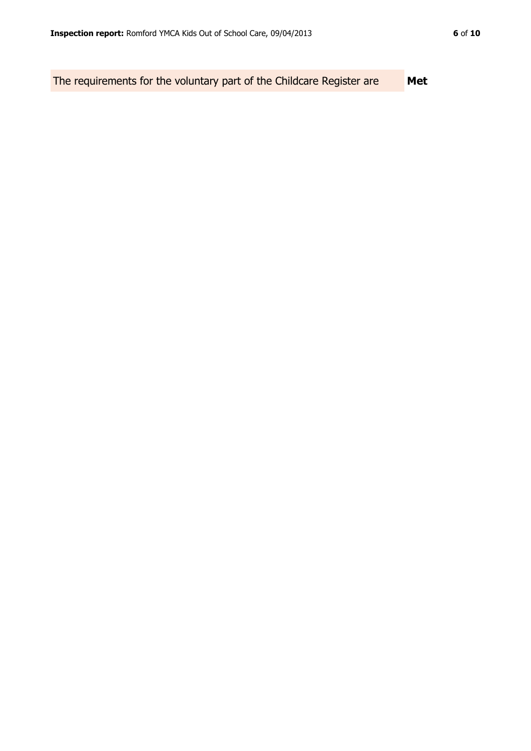The requirements for the voluntary part of the Childcare Register are **Met**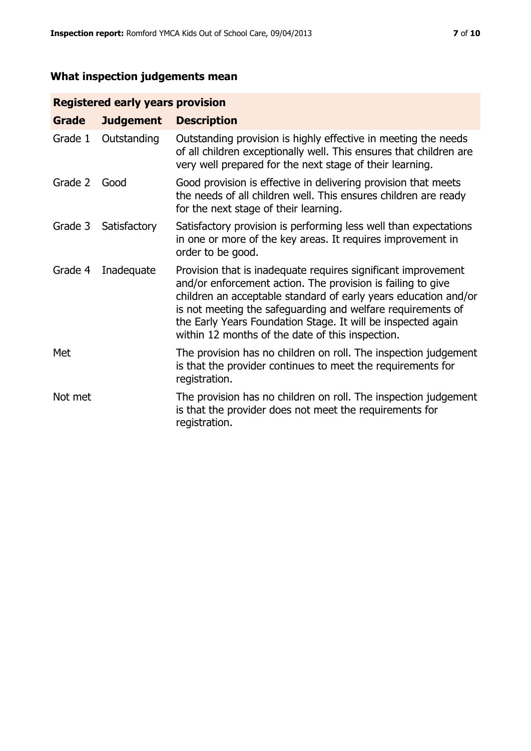# **What inspection judgements mean**

# **Registered early years provision**

| Grade   | <b>Judgement</b> | <b>Description</b>                                                                                                                                                                                                                                                                                                                                                                 |
|---------|------------------|------------------------------------------------------------------------------------------------------------------------------------------------------------------------------------------------------------------------------------------------------------------------------------------------------------------------------------------------------------------------------------|
| Grade 1 | Outstanding      | Outstanding provision is highly effective in meeting the needs<br>of all children exceptionally well. This ensures that children are<br>very well prepared for the next stage of their learning.                                                                                                                                                                                   |
| Grade 2 | Good             | Good provision is effective in delivering provision that meets<br>the needs of all children well. This ensures children are ready<br>for the next stage of their learning.                                                                                                                                                                                                         |
| Grade 3 | Satisfactory     | Satisfactory provision is performing less well than expectations<br>in one or more of the key areas. It requires improvement in<br>order to be good.                                                                                                                                                                                                                               |
| Grade 4 | Inadequate       | Provision that is inadequate requires significant improvement<br>and/or enforcement action. The provision is failing to give<br>children an acceptable standard of early years education and/or<br>is not meeting the safeguarding and welfare requirements of<br>the Early Years Foundation Stage. It will be inspected again<br>within 12 months of the date of this inspection. |
| Met     |                  | The provision has no children on roll. The inspection judgement<br>is that the provider continues to meet the requirements for<br>registration.                                                                                                                                                                                                                                    |
| Not met |                  | The provision has no children on roll. The inspection judgement<br>is that the provider does not meet the requirements for<br>registration.                                                                                                                                                                                                                                        |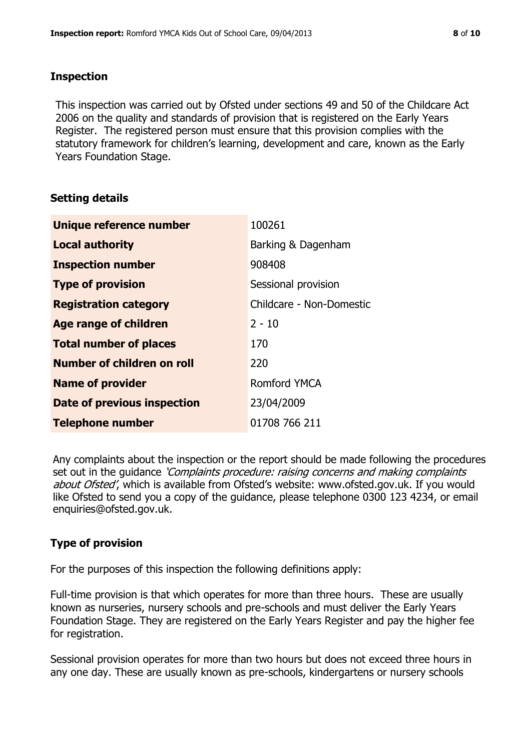#### **Inspection**

This inspection was carried out by Ofsted under sections 49 and 50 of the Childcare Act 2006 on the quality and standards of provision that is registered on the Early Years Register. The registered person must ensure that this provision complies with the statutory framework for children's learning, development and care, known as the Early Years Foundation Stage.

# **Setting details**

| Unique reference number       | 100261                   |
|-------------------------------|--------------------------|
| <b>Local authority</b>        | Barking & Dagenham       |
| <b>Inspection number</b>      | 908408                   |
| <b>Type of provision</b>      | Sessional provision      |
| <b>Registration category</b>  | Childcare - Non-Domestic |
| <b>Age range of children</b>  | $2 - 10$                 |
| <b>Total number of places</b> | 170                      |
| Number of children on roll    | 220                      |
| <b>Name of provider</b>       | Romford YMCA             |
| Date of previous inspection   | 23/04/2009               |
| <b>Telephone number</b>       | 01708 766 211            |

Any complaints about the inspection or the report should be made following the procedures set out in the guidance *'Complaints procedure: raising concerns and making complaints* about Ofsted', which is available from Ofsted's website: www.ofsted.gov.uk. If you would like Ofsted to send you a copy of the guidance, please telephone 0300 123 4234, or email enquiries@ofsted.gov.uk.

# **Type of provision**

For the purposes of this inspection the following definitions apply:

Full-time provision is that which operates for more than three hours. These are usually known as nurseries, nursery schools and pre-schools and must deliver the Early Years Foundation Stage. They are registered on the Early Years Register and pay the higher fee for registration.

Sessional provision operates for more than two hours but does not exceed three hours in any one day. These are usually known as pre-schools, kindergartens or nursery schools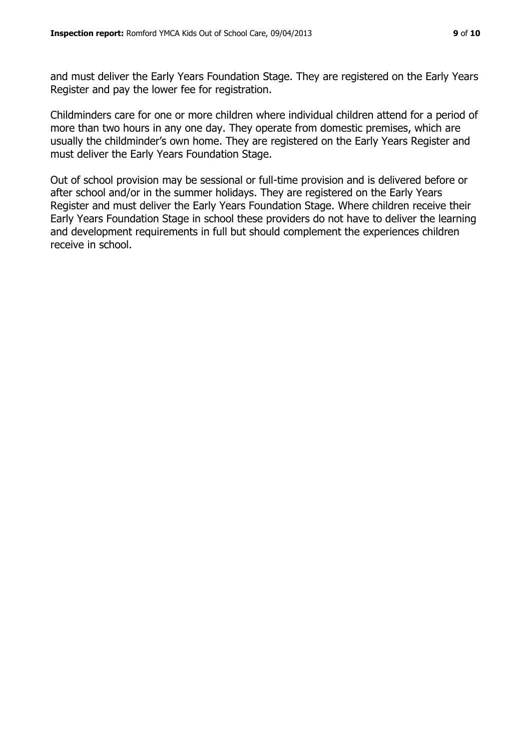and must deliver the Early Years Foundation Stage. They are registered on the Early Years Register and pay the lower fee for registration.

Childminders care for one or more children where individual children attend for a period of more than two hours in any one day. They operate from domestic premises, which are usually the childminder's own home. They are registered on the Early Years Register and must deliver the Early Years Foundation Stage.

Out of school provision may be sessional or full-time provision and is delivered before or after school and/or in the summer holidays. They are registered on the Early Years Register and must deliver the Early Years Foundation Stage. Where children receive their Early Years Foundation Stage in school these providers do not have to deliver the learning and development requirements in full but should complement the experiences children receive in school.